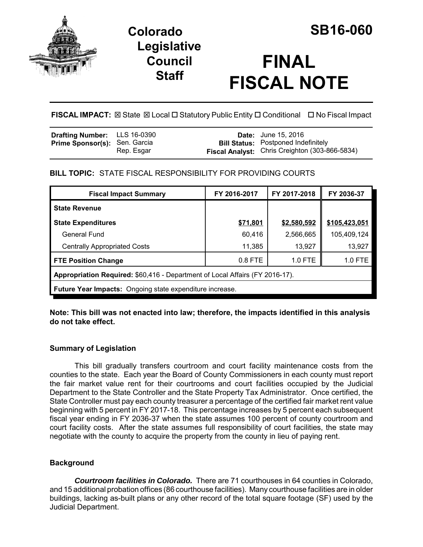

# **Colorado SB16-060 Legislative Council Staff**

# **FINAL FISCAL NOTE**

**FISCAL IMPACT:** ⊠ State ⊠ Local □ Statutory Public Entity □ Conditional □ No Fiscal Impact

| <b>Drafting Number:</b> LLS 16-0390  |            | <b>Date:</b> June 15, 2016                            |
|--------------------------------------|------------|-------------------------------------------------------|
| <b>Prime Sponsor(s): Sen. Garcia</b> |            | <b>Bill Status:</b> Postponed Indefinitely            |
|                                      | Rep. Esgar | <b>Fiscal Analyst:</b> Chris Creighton (303-866-5834) |

# **BILL TOPIC:** STATE FISCAL RESPONSIBILITY FOR PROVIDING COURTS

| <b>Fiscal Impact Summary</b>                                                 | FY 2016-2017 | FY 2017-2018 | FY 2036-37    |  |
|------------------------------------------------------------------------------|--------------|--------------|---------------|--|
| <b>State Revenue</b>                                                         |              |              |               |  |
| <b>State Expenditures</b>                                                    | \$71,801     | \$2,580,592  | \$105,423,051 |  |
| General Fund                                                                 | 60,416       | 2,566,665    | 105,409,124   |  |
| <b>Centrally Appropriated Costs</b>                                          | 11,385       | 13,927       | 13,927        |  |
| <b>FTE Position Change</b>                                                   | $0.8$ FTE    | 1.0 FTE      | 1.0 FTE       |  |
| Appropriation Required: \$60,416 - Department of Local Affairs (FY 2016-17). |              |              |               |  |
| <b>Future Year Impacts:</b> Ongoing state expenditure increase.              |              |              |               |  |

**Note: This bill was not enacted into law; therefore, the impacts identified in this analysis do not take effect.** 

## **Summary of Legislation**

This bill gradually transfers courtroom and court facility maintenance costs from the counties to the state. Each year the Board of County Commissioners in each county must report the fair market value rent for their courtrooms and court facilities occupied by the Judicial Department to the State Controller and the State Property Tax Administrator. Once certified, the State Controller must pay each county treasurer a percentage of the certified fair market rent value beginning with 5 percent in FY 2017-18. This percentage increases by 5 percent each subsequent fiscal year ending in FY 2036-37 when the state assumes 100 percent of county courtroom and court facility costs. After the state assumes full responsibility of court facilities, the state may negotiate with the county to acquire the property from the county in lieu of paying rent.

## **Background**

*Courtroom facilities in Colorado.* There are 71 courthouses in 64 counties in Colorado, and 15 additional probation offices (86 courthouse facilities). Many courthouse facilities are in older buildings, lacking as-built plans or any other record of the total square footage (SF) used by the Judicial Department.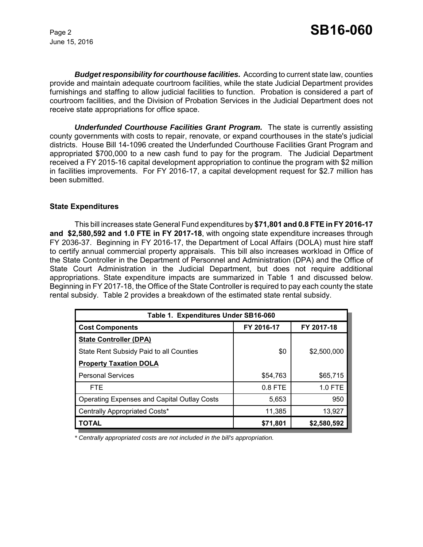June 15, 2016

*Budget responsibility for courthouse facilities.* According to current state law, counties provide and maintain adequate courtroom facilities, while the state Judicial Department provides furnishings and staffing to allow judicial facilities to function. Probation is considered a part of courtroom facilities, and the Division of Probation Services in the Judicial Department does not receive state appropriations for office space.

*Underfunded Courthouse Facilities Grant Program.* The state is currently assisting county governments with costs to repair, renovate, or expand courthouses in the state's judicial districts. House Bill 14-1096 created the Underfunded Courthouse Facilities Grant Program and appropriated \$700,000 to a new cash fund to pay for the program. The Judicial Department received a FY 2015-16 capital development appropriation to continue the program with \$2 million in facilities improvements. For FY 2016-17, a capital development request for \$2.7 million has been submitted.

#### **State Expenditures**

This bill increases state General Fund expenditures by **\$71,801 and 0.8 FTE in FY 2016-17 and \$2,580,592 and 1.0 FTE in FY 2017-18**, with ongoing state expenditure increases through FY 2036-37. Beginning in FY 2016-17, the Department of Local Affairs (DOLA) must hire staff to certify annual commercial property appraisals. This bill also increases workload in Office of the State Controller in the Department of Personnel and Administration (DPA) and the Office of State Court Administration in the Judicial Department, but does not require additional appropriations. State expenditure impacts are summarized in Table 1 and discussed below. Beginning in FY 2017-18, the Office of the State Controller is required to pay each county the state rental subsidy. Table 2 provides a breakdown of the estimated state rental subsidy.

| Table 1. Expenditures Under SB16-060               |            |             |  |  |
|----------------------------------------------------|------------|-------------|--|--|
| <b>Cost Components</b>                             | FY 2016-17 | FY 2017-18  |  |  |
| <b>State Controller (DPA)</b>                      |            |             |  |  |
| State Rent Subsidy Paid to all Counties            | \$0        | \$2,500,000 |  |  |
| <b>Property Taxation DOLA</b>                      |            |             |  |  |
| <b>Personal Services</b>                           | \$54,763   | \$65,715    |  |  |
| <b>FTE</b>                                         | $0.8$ FTE  | 1.0 FTE     |  |  |
| <b>Operating Expenses and Capital Outlay Costs</b> | 5,653      | 950         |  |  |
| Centrally Appropriated Costs*                      | 11,385     | 13,927      |  |  |
| TOTAL                                              | \$71,801   | \$2,580,592 |  |  |

*\* Centrally appropriated costs are not included in the bill's appropriation.*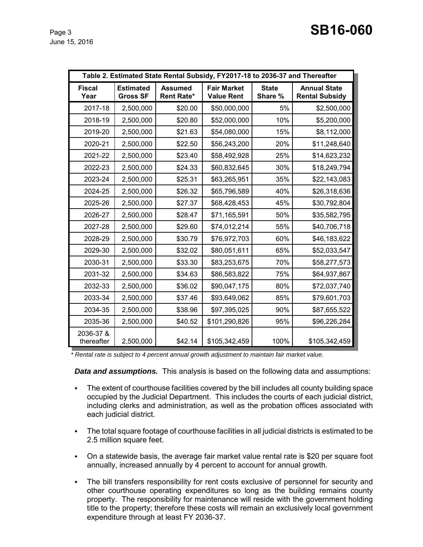| Table 2. Estimated State Rental Subsidy, FY2017-18 to 2036-37 and Thereafter |                                     |                                     |                                         |                         |                                              |
|------------------------------------------------------------------------------|-------------------------------------|-------------------------------------|-----------------------------------------|-------------------------|----------------------------------------------|
| <b>Fiscal</b><br>Year                                                        | <b>Estimated</b><br><b>Gross SF</b> | <b>Assumed</b><br><b>Rent Rate*</b> | <b>Fair Market</b><br><b>Value Rent</b> | <b>State</b><br>Share % | <b>Annual State</b><br><b>Rental Subsidy</b> |
| 2017-18                                                                      | 2,500,000                           | \$20.00                             | \$50,000,000                            | 5%                      | \$2,500,000                                  |
| 2018-19                                                                      | 2,500,000                           | \$20.80                             | \$52,000,000                            | 10%                     | \$5,200,000                                  |
| 2019-20                                                                      | 2,500,000                           | \$21.63                             | \$54,080,000                            | 15%                     | \$8,112,000                                  |
| 2020-21                                                                      | 2,500,000                           | \$22.50                             | \$56,243,200                            | 20%                     | \$11,248,640                                 |
| 2021-22                                                                      | 2,500,000                           | \$23.40                             | \$58,492,928                            | 25%                     | \$14,623,232                                 |
| 2022-23                                                                      | 2,500,000                           | \$24.33                             | \$60,832,645                            | 30%                     | \$18,249,794                                 |
| 2023-24                                                                      | 2,500,000                           | \$25.31                             | \$63,265,951                            | 35%                     | \$22,143,083                                 |
| 2024-25                                                                      | 2,500,000                           | \$26.32                             | \$65,796,589                            | 40%                     | \$26,318,636                                 |
| 2025-26                                                                      | 2,500,000                           | \$27.37                             | \$68,428,453                            | 45%                     | \$30,792,804                                 |
| 2026-27                                                                      | 2,500,000                           | \$28.47                             | \$71,165,591                            | 50%                     | \$35,582,795                                 |
| 2027-28                                                                      | 2,500,000                           | \$29.60                             | \$74,012,214                            | 55%                     | \$40,706,718                                 |
| 2028-29                                                                      | 2,500,000                           | \$30.79                             | \$76,972,703                            | 60%                     | \$46,183,622                                 |
| 2029-30                                                                      | 2,500,000                           | \$32.02                             | \$80,051,611                            | 65%                     | \$52,033,547                                 |
| 2030-31                                                                      | 2,500,000                           | \$33.30                             | \$83,253,675                            | 70%                     | \$58,277,573                                 |
| 2031-32                                                                      | 2,500,000                           | \$34.63                             | \$86,583,822                            | 75%                     | \$64,937,867                                 |
| 2032-33                                                                      | 2,500,000                           | \$36.02                             | \$90,047,175                            | 80%                     | \$72,037,740                                 |
| 2033-34                                                                      | 2,500,000                           | \$37.46                             | \$93,649,062                            | 85%                     | \$79,601,703                                 |
| 2034-35                                                                      | 2,500,000                           | \$38.96                             | \$97,395,025                            | 90%                     | \$87,655,522                                 |
| 2035-36                                                                      | 2,500,000                           | \$40.52                             | \$101,290,826                           | 95%                     | \$96,226,284                                 |
| 2036-37 &<br>thereafter                                                      | 2,500,000                           | \$42.14                             | \$105,342,459                           | 100%                    | \$105,342,459                                |

 *\* Rental rate is subject to 4 percent annual growth adjustment to maintain fair market value.* 

*Data and assumptions.* This analysis is based on the following data and assumptions:

- The extent of courthouse facilities covered by the bill includes all county building space occupied by the Judicial Department. This includes the courts of each judicial district, including clerks and administration, as well as the probation offices associated with each judicial district.
- The total square footage of courthouse facilities in all judicial districts is estimated to be 2.5 million square feet.
- On a statewide basis, the average fair market value rental rate is \$20 per square foot annually, increased annually by 4 percent to account for annual growth.
- The bill transfers responsibility for rent costs exclusive of personnel for security and other courthouse operating expenditures so long as the building remains county property. The responsibility for maintenance will reside with the government holding title to the property; therefore these costs will remain an exclusively local government expenditure through at least FY 2036-37.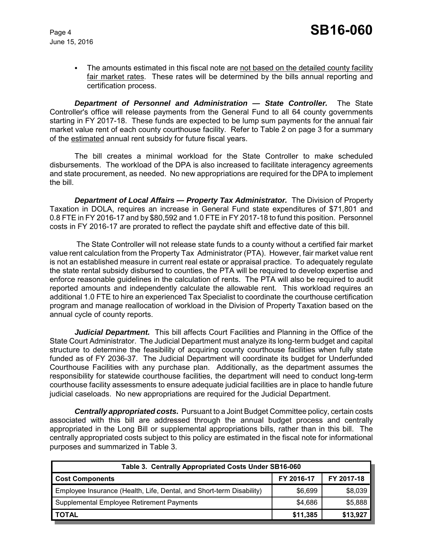June 15, 2016

• The amounts estimated in this fiscal note are not based on the detailed county facility fair market rates. These rates will be determined by the bills annual reporting and certification process.

*Department of Personnel and Administration — State Controller.* The State Controller's office will release payments from the General Fund to all 64 county governments starting in FY 2017-18. These funds are expected to be lump sum payments for the annual fair market value rent of each county courthouse facility. Refer to Table 2 on page 3 for a summary of the estimated annual rent subsidy for future fiscal years.

The bill creates a minimal workload for the State Controller to make scheduled disbursements. The workload of the DPA is also increased to facilitate interagency agreements and state procurement, as needed. No new appropriations are required for the DPA to implement the bill.

**Department of Local Affairs — Property Tax Administrator.** The Division of Property Taxation in DOLA, requires an increase in General Fund state expenditures of \$71,801 and 0.8 FTE in FY 2016-17 and by \$80,592 and 1.0 FTE in FY 2017-18 to fund this position. Personnel costs in FY 2016-17 are prorated to reflect the paydate shift and effective date of this bill.

 The State Controller will not release state funds to a county without a certified fair market value rent calculation from the Property Tax Administrator (PTA). However, fair market value rent is not an established measure in current real estate or appraisal practice. To adequately regulate the state rental subsidy disbursed to counties, the PTA will be required to develop expertise and enforce reasonable guidelines in the calculation of rents. The PTA will also be required to audit reported amounts and independently calculate the allowable rent. This workload requires an additional 1.0 FTE to hire an experienced Tax Specialist to coordinate the courthouse certification program and manage reallocation of workload in the Division of Property Taxation based on the annual cycle of county reports.

*Judicial Department.* This bill affects Court Facilities and Planning in the Office of the State Court Administrator. The Judicial Department must analyze its long-term budget and capital structure to determine the feasibility of acquiring county courthouse facilities when fully state funded as of FY 2036-37. The Judicial Department will coordinate its budget for Underfunded Courthouse Facilities with any purchase plan. Additionally, as the department assumes the responsibility for statewide courthouse facilities, the department will need to conduct long-term courthouse facility assessments to ensure adequate judicial facilities are in place to handle future judicial caseloads. No new appropriations are required for the Judicial Department.

*Centrally appropriated costs.* Pursuant to a Joint Budget Committee policy, certain costs associated with this bill are addressed through the annual budget process and centrally appropriated in the Long Bill or supplemental appropriations bills, rather than in this bill. The centrally appropriated costs subject to this policy are estimated in the fiscal note for informational purposes and summarized in Table 3.

| Table 3. Centrally Appropriated Costs Under SB16-060                 |            |            |  |  |
|----------------------------------------------------------------------|------------|------------|--|--|
| <b>Cost Components</b>                                               | FY 2016-17 | FY 2017-18 |  |  |
| Employee Insurance (Health, Life, Dental, and Short-term Disability) | \$6,699    | \$8,039    |  |  |
| Supplemental Employee Retirement Payments                            | \$4,686    | \$5,888    |  |  |
| <b>TOTAL</b>                                                         | \$11,385   | \$13,927   |  |  |